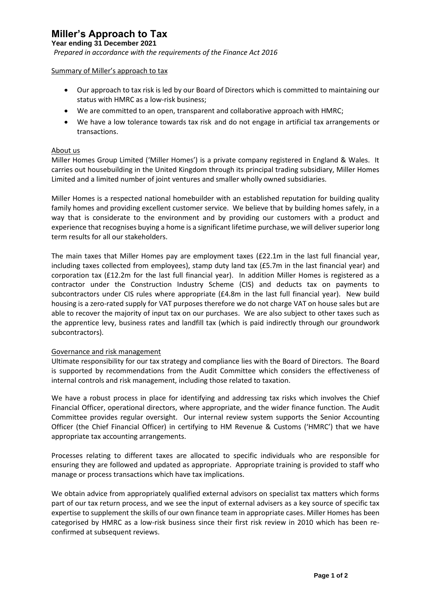# **Miller's Approach to Tax**

**Year ending 31 December 2021**

*Prepared in accordance with the requirements of the Finance Act 2016* 

#### Summary of Miller's approach to tax

- Our approach to tax risk is led by our Board of Directors which is committed to maintaining our status with HMRC as a low-risk business;
- We are committed to an open, transparent and collaborative approach with HMRC;
- We have a low tolerance towards tax risk and do not engage in artificial tax arrangements or transactions.

#### About us

Miller Homes Group Limited ('Miller Homes') is a private company registered in England & Wales. It carries out housebuilding in the United Kingdom through its principal trading subsidiary, Miller Homes Limited and a limited number of joint ventures and smaller wholly owned subsidiaries.

Miller Homes is a respected national homebuilder with an established reputation for building quality family homes and providing excellent customer service. We believe that by building homes safely, in a way that is considerate to the environment and by providing our customers with a product and experience that recognises buying a home is a significant lifetime purchase, we will deliver superior long term results for all our stakeholders.

The main taxes that Miller Homes pay are employment taxes (£22.1m in the last full financial year, including taxes collected from employees), stamp duty land tax (£5.7m in the last financial year) and corporation tax (£12.2m for the last full financial year). In addition Miller Homes is registered as a contractor under the Construction Industry Scheme (CIS) and deducts tax on payments to subcontractors under CIS rules where appropriate (£4.8m in the last full financial year). New build housing is a zero-rated supply for VAT purposes therefore we do not charge VAT on house sales but are able to recover the majority of input tax on our purchases. We are also subject to other taxes such as the apprentice levy, business rates and landfill tax (which is paid indirectly through our groundwork subcontractors).

### Governance and risk management

Ultimate responsibility for our tax strategy and compliance lies with the Board of Directors. The Board is supported by recommendations from the Audit Committee which considers the effectiveness of internal controls and risk management, including those related to taxation.

We have a robust process in place for identifying and addressing tax risks which involves the Chief Financial Officer, operational directors, where appropriate, and the wider finance function. The Audit Committee provides regular oversight. Our internal review system supports the Senior Accounting Officer (the Chief Financial Officer) in certifying to HM Revenue & Customs ('HMRC') that we have appropriate tax accounting arrangements.

Processes relating to different taxes are allocated to specific individuals who are responsible for ensuring they are followed and updated as appropriate. Appropriate training is provided to staff who manage or process transactions which have tax implications.

We obtain advice from appropriately qualified external advisors on specialist tax matters which forms part of our tax return process, and we see the input of external advisers as a key source of specific tax expertise to supplement the skills of our own finance team in appropriate cases. Miller Homes has been categorised by HMRC as a low-risk business since their first risk review in 2010 which has been reconfirmed at subsequent reviews.